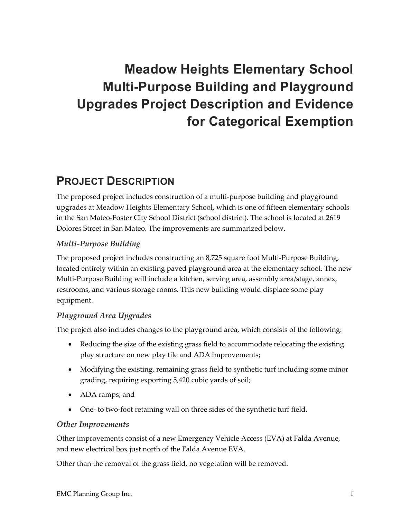# **Meadow Heights Elementary School Multi-Purpose Building and Playground Upgrades Project Description and Evidence for Categorical Exemption**

## **PROJECT DESCRIPTION**

The proposed project includes construction of a multi‐purpose building and playground upgrades at Meadow Heights Elementary School, which is one of fifteen elementary schools in the San Mateo‐Foster City School District (school district). The school is located at 2619 Dolores Street in San Mateo. The improvements are summarized below.

#### *Multi‐Purpose Building*

The proposed project includes constructing an 8,725 square foot Multi‐Purpose Building, located entirely within an existing paved playground area at the elementary school. The new Multi-Purpose Building will include a kitchen, serving area, assembly area/stage, annex, restrooms, and various storage rooms. This new building would displace some play equipment.

#### *Playground Area Upgrades*

The project also includes changes to the playground area, which consists of the following:

- Reducing the size of the existing grass field to accommodate relocating the existing play structure on new play tile and ADA improvements;
- Modifying the existing, remaining grass field to synthetic turf including some minor grading, requiring exporting 5,420 cubic yards of soil;
- ADA ramps; and
- One- to two-foot retaining wall on three sides of the synthetic turf field.

#### *Other Improvements*

Other improvements consist of a new Emergency Vehicle Access (EVA) at Falda Avenue, and new electrical box just north of the Falda Avenue EVA.

Other than the removal of the grass field, no vegetation will be removed.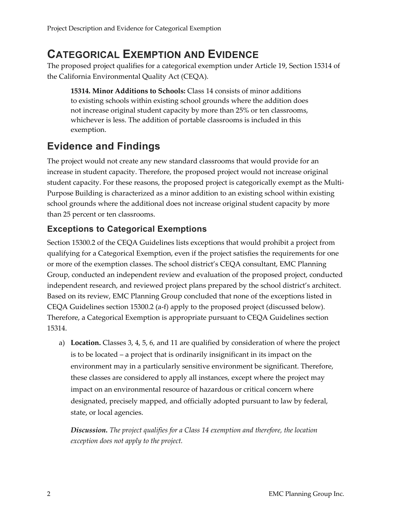### **CATEGORICAL EXEMPTION AND EVIDENCE**

The proposed project qualifies for a categorical exemption under Article 19, Section 15314 of the California Environmental Quality Act (CEQA).

**15314. Minor Additions to Schools:** Class 14 consists of minor additions to existing schools within existing school grounds where the addition does not increase original student capacity by more than 25% or ten classrooms, whichever is less. The addition of portable classrooms is included in this exemption.

### **Evidence and Findings**

The project would not create any new standard classrooms that would provide for an increase in student capacity. Therefore, the proposed project would not increase original student capacity. For these reasons, the proposed project is categorically exempt as the Multi‐ Purpose Building is characterized as a minor addition to an existing school within existing school grounds where the additional does not increase original student capacity by more than 25 percent or ten classrooms.

### **Exceptions to Categorical Exemptions**

Section 15300.2 of the CEQA Guidelines lists exceptions that would prohibit a project from qualifying for a Categorical Exemption, even if the project satisfies the requirements for one or more of the exemption classes. The school district's CEQA consultant, EMC Planning Group, conducted an independent review and evaluation of the proposed project, conducted independent research, and reviewed project plans prepared by the school district's architect. Based on its review, EMC Planning Group concluded that none of the exceptions listed in CEQA Guidelines section 15300.2 (a‐f) apply to the proposed project (discussed below). Therefore, a Categorical Exemption is appropriate pursuant to CEQA Guidelines section 15314.

a) **Location.** Classes 3, 4, 5, 6, and 11 are qualified by consideration of where the project is to be located – a project that is ordinarily insignificant in its impact on the environment may in a particularly sensitive environment be significant. Therefore, these classes are considered to apply all instances, except where the project may impact on an environmental resource of hazardous or critical concern where designated, precisely mapped, and officially adopted pursuant to law by federal, state, or local agencies.

*Discussion. The project qualifies for a Class 14 exemption and therefore, the location exception does not apply to the project.*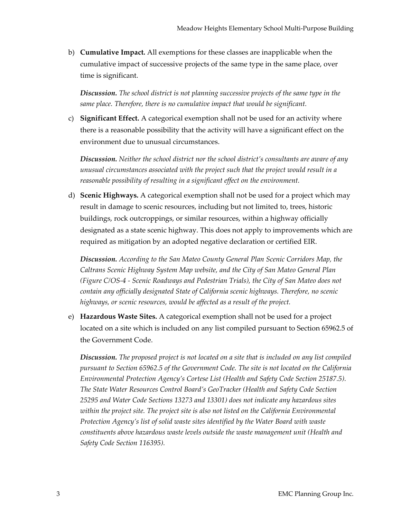b) **Cumulative Impact.** All exemptions for these classes are inapplicable when the cumulative impact of successive projects of the same type in the same place, over time is significant.

*Discussion. The school district is not planning successive projects of the same type in the same place. Therefore, there is no cumulative impact that would be significant.*

c) **Significant Effect.** A categorical exemption shall not be used for an activity where there is a reasonable possibility that the activity will have a significant effect on the environment due to unusual circumstances.

*Discussion. Neither the school district nor the school district's consultants are aware of any unusual circumstances associated with the project such that the project would result in a reasonable possibility of resulting in a significant effect on the environment.*

d) **Scenic Highways.** A categorical exemption shall not be used for a project which may result in damage to scenic resources, including but not limited to, trees, historic buildings, rock outcroppings, or similar resources, within a highway officially designated as a state scenic highway. This does not apply to improvements which are required as mitigation by an adopted negative declaration or certified EIR.

*Discussion. According to the San Mateo County General Plan Scenic Corridors Map, the Caltrans Scenic Highway System Map website, and the City of San Mateo General Plan (Figure C/OS‐4 ‐ Scenic Roadways and Pedestrian Trials), the City of San Mateo does not contain any officially designated State of California scenic highways. Therefore, no scenic highways, or scenic resources, would be affected as a result of the project.*

e) **Hazardous Waste Sites.** A categorical exemption shall not be used for a project located on a site which is included on any list compiled pursuant to Section 65962.5 of the Government Code.

*Discussion. The proposed project is not located on a site that is included on any list compiled pursuant to Section 65962.5 of the Government Code. The site is not located on the California Environmental Protection Agency's Cortese List (Health and Safety Code Section 25187.5). The State Water Resources Control Board's GeoTracker (Health and Safety Code Section 25295 and Water Code Sections 13273 and 13301) does not indicate any hazardous sites within the project site. The project site is also not listed on the California Environmental Protection Agency's list of solid waste sites identified by the Water Board with waste constituents above hazardous waste levels outside the waste management unit (Health and Safety Code Section 116395).*